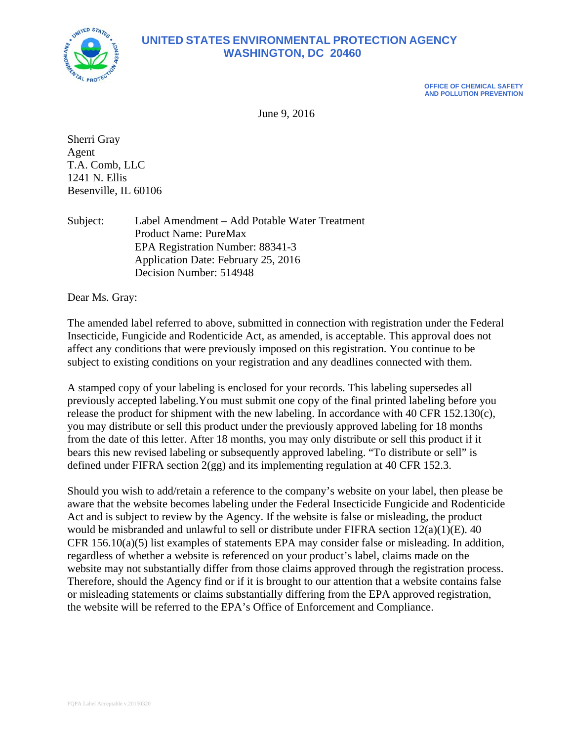

# **UNITED STATES ENVIRONMENTAL PROTECTION AGENCY WASHINGTON, DC 20460**

**OFFICE OF CHEMICAL SAFETY AND POLLUTION PREVENTION** 

June 9, 2016

Sherri Gray Agent T.A. Comb, LLC 1241 N. Ellis Besenville, IL 60106

Subject: Label Amendment – Add Potable Water Treatment Product Name: PureMax EPA Registration Number: 88341-3 Application Date: February 25, 2016 Decision Number: 514948

Dear Ms. Gray:

The amended label referred to above, submitted in connection with registration under the Federal Insecticide, Fungicide and Rodenticide Act, as amended, is acceptable. This approval does not affect any conditions that were previously imposed on this registration. You continue to be subject to existing conditions on your registration and any deadlines connected with them.

A stamped copy of your labeling is enclosed for your records. This labeling supersedes all previously accepted labeling.You must submit one copy of the final printed labeling before you release the product for shipment with the new labeling. In accordance with 40 CFR 152.130(c), you may distribute or sell this product under the previously approved labeling for 18 months from the date of this letter. After 18 months, you may only distribute or sell this product if it bears this new revised labeling or subsequently approved labeling. "To distribute or sell" is defined under FIFRA section 2(gg) and its implementing regulation at 40 CFR 152.3.

Should you wish to add/retain a reference to the company's website on your label, then please be aware that the website becomes labeling under the Federal Insecticide Fungicide and Rodenticide Act and is subject to review by the Agency. If the website is false or misleading, the product would be misbranded and unlawful to sell or distribute under FIFRA section 12(a)(1)(E). 40 CFR 156.10(a)(5) list examples of statements EPA may consider false or misleading. In addition, regardless of whether a website is referenced on your product's label, claims made on the website may not substantially differ from those claims approved through the registration process. Therefore, should the Agency find or if it is brought to our attention that a website contains false or misleading statements or claims substantially differing from the EPA approved registration, the website will be referred to the EPA's Office of Enforcement and Compliance.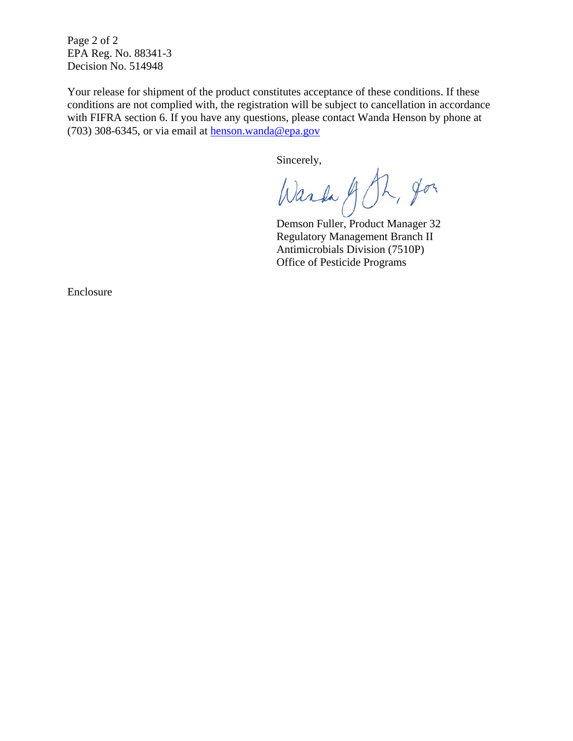Page 2 of 2 EPA Reg. No. 88341-3 Decision No. 514948

Your release for shipment of the product constitutes acceptance of these conditions. If these conditions are not complied with, the registration will be subject to cancellation in accordance with FIFRA section 6. If you have any questions, please contact Wanda Henson by phone at (703) 308-6345, or via email at henson.wanda@epa.gov

Sincerely,

Ward J Ph, Jon

Demson Fuller, Product Manager 32 Regulatory Management Branch II Antimicrobials Division (7510P) Office of Pesticide Programs

Enclosure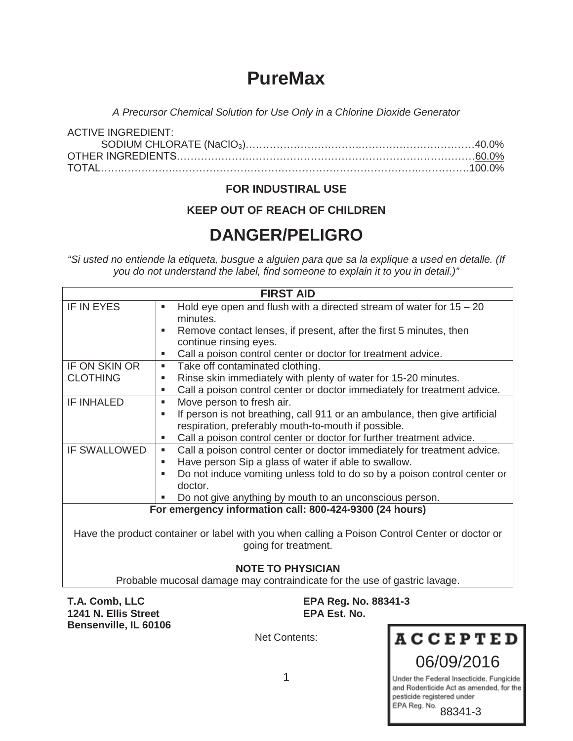# **PureMax**

*A Precursor Chemical Solution for Use Only in a Chlorine Dioxide Generator* 

| ACTIVE INGREDIENT: |  |
|--------------------|--|
|                    |  |
|                    |  |
|                    |  |

## **FOR INDUSTIRAL USE**

## **KEEP OUT OF REACH OF CHILDREN**

# **DANGER/PELIGRO**

*"Si usted no entiende la etiqueta, busgue a alguien para que sa la explique a used en detalle. (If you do not understand the label, find someone to explain it to you in detail.)"*

| <b>FIRST AID</b>                                                                               |                                                                                 |  |
|------------------------------------------------------------------------------------------------|---------------------------------------------------------------------------------|--|
| IF IN EYES                                                                                     | Hold eye open and flush with a directed stream of water for $15 - 20$<br>٠      |  |
|                                                                                                | minutes.                                                                        |  |
|                                                                                                | Remove contact lenses, if present, after the first 5 minutes, then              |  |
|                                                                                                | continue rinsing eyes.                                                          |  |
|                                                                                                | Call a poison control center or doctor for treatment advice.<br>٠               |  |
| IF ON SKIN OR                                                                                  | Take off contaminated clothing.<br>٠                                            |  |
| <b>CLOTHING</b>                                                                                | Rinse skin immediately with plenty of water for 15-20 minutes.<br>п             |  |
|                                                                                                | Call a poison control center or doctor immediately for treatment advice.<br>٠   |  |
| <b>IF INHALED</b>                                                                              | Move person to fresh air.<br>٠                                                  |  |
|                                                                                                | If person is not breathing, call 911 or an ambulance, then give artificial<br>٠ |  |
|                                                                                                | respiration, preferably mouth-to-mouth if possible.                             |  |
|                                                                                                | Call a poison control center or doctor for further treatment advice.<br>٠       |  |
| <b>IF SWALLOWED</b>                                                                            | Call a poison control center or doctor immediately for treatment advice.<br>٠   |  |
|                                                                                                | Have person Sip a glass of water if able to swallow.<br>п                       |  |
|                                                                                                | Do not induce vomiting unless told to do so by a poison control center or       |  |
|                                                                                                | doctor.                                                                         |  |
|                                                                                                | Do not give anything by mouth to an unconscious person.                         |  |
| For emergency information call: 800-424-9300 (24 hours)                                        |                                                                                 |  |
|                                                                                                |                                                                                 |  |
| Have the product container or label with you when calling a Poison Control Center or doctor or |                                                                                 |  |
| going for treatment.                                                                           |                                                                                 |  |
|                                                                                                |                                                                                 |  |
| <b>NOTE TO PHYSICIAN</b>                                                                       |                                                                                 |  |
| Probable mucosal damage may contraindicate for the use of gastric lavage.                      |                                                                                 |  |

**1241 N. Ellis Street Bensenville, IL 60106** 

**T.A. Comb, LLC** EPA Reg. No. 88341-3<br>1241 N. Ellis Street EPA Est. No.

Net Contents:

**ACCEPTED** 06/09/2016

Under the Federal Insecticide, Fungicide and Rodenticide Act as amended, for the pesticide registered under EPA Reg. No.

88341-3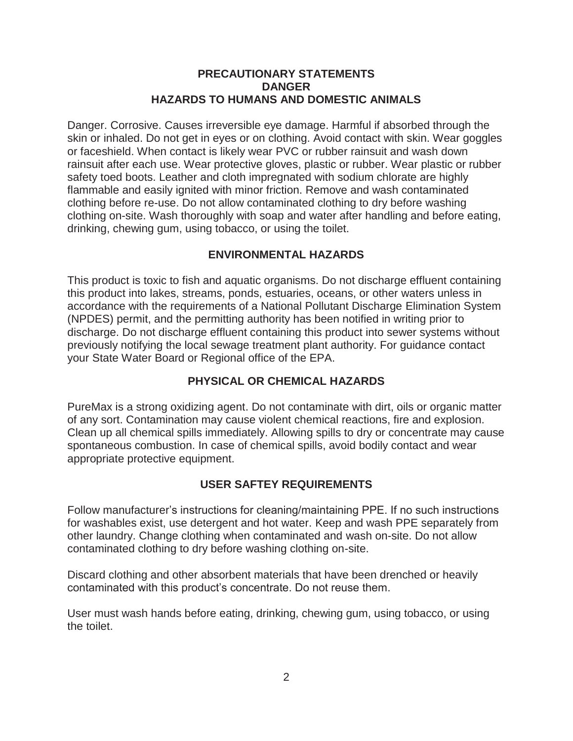#### **PRECAUTIONARY STATEMENTS DANGER HAZARDS TO HUMANS AND DOMESTIC ANIMALS**

Danger. Corrosive. Causes irreversible eye damage. Harmful if absorbed through the skin or inhaled. Do not get in eyes or on clothing. Avoid contact with skin. Wear goggles or faceshield. When contact is likely wear PVC or rubber rainsuit and wash down rainsuit after each use. Wear protective gloves, plastic or rubber. Wear plastic or rubber safety toed boots. Leather and cloth impregnated with sodium chlorate are highly flammable and easily ignited with minor friction. Remove and wash contaminated clothing before re-use. Do not allow contaminated clothing to dry before washing clothing on-site. Wash thoroughly with soap and water after handling and before eating, drinking, chewing gum, using tobacco, or using the toilet.

## **ENVIRONMENTAL HAZARDS**

This product is toxic to fish and aquatic organisms. Do not discharge effluent containing this product into lakes, streams, ponds, estuaries, oceans, or other waters unless in accordance with the requirements of a National Pollutant Discharge Elimination System (NPDES) permit, and the permitting authority has been notified in writing prior to discharge. Do not discharge effluent containing this product into sewer systems without previously notifying the local sewage treatment plant authority. For guidance contact your State Water Board or Regional office of the EPA.

## **PHYSICAL OR CHEMICAL HAZARDS**

PureMax is a strong oxidizing agent. Do not contaminate with dirt, oils or organic matter of any sort. Contamination may cause violent chemical reactions, fire and explosion. Clean up all chemical spills immediately. Allowing spills to dry or concentrate may cause spontaneous combustion. In case of chemical spills, avoid bodily contact and wear appropriate protective equipment.

#### **USER SAFTEY REQUIREMENTS**

Follow manufacturer's instructions for cleaning/maintaining PPE. If no such instructions for washables exist, use detergent and hot water. Keep and wash PPE separately from other laundry. Change clothing when contaminated and wash on-site. Do not allow contaminated clothing to dry before washing clothing on-site.

Discard clothing and other absorbent materials that have been drenched or heavily contaminated with this product's concentrate. Do not reuse them.

User must wash hands before eating, drinking, chewing gum, using tobacco, or using the toilet.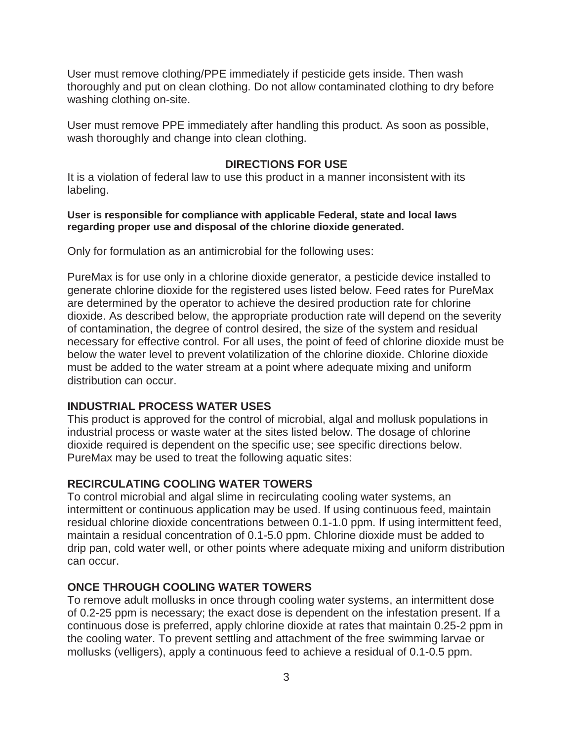User must remove clothing/PPE immediately if pesticide gets inside. Then wash thoroughly and put on clean clothing. Do not allow contaminated clothing to dry before washing clothing on-site.

User must remove PPE immediately after handling this product. As soon as possible, wash thoroughly and change into clean clothing.

#### **DIRECTIONS FOR USE**

It is a violation of federal law to use this product in a manner inconsistent with its labeling.

#### **User is responsible for compliance with applicable Federal, state and local laws regarding proper use and disposal of the chlorine dioxide generated.**

Only for formulation as an antimicrobial for the following uses:

PureMax is for use only in a chlorine dioxide generator, a pesticide device installed to generate chlorine dioxide for the registered uses listed below. Feed rates for PureMax are determined by the operator to achieve the desired production rate for chlorine dioxide. As described below, the appropriate production rate will depend on the severity of contamination, the degree of control desired, the size of the system and residual necessary for effective control. For all uses, the point of feed of chlorine dioxide must be below the water level to prevent volatilization of the chlorine dioxide. Chlorine dioxide must be added to the water stream at a point where adequate mixing and uniform distribution can occur.

#### **INDUSTRIAL PROCESS WATER USES**

This product is approved for the control of microbial, algal and mollusk populations in industrial process or waste water at the sites listed below. The dosage of chlorine dioxide required is dependent on the specific use; see specific directions below. PureMax may be used to treat the following aquatic sites:

#### **RECIRCULATING COOLING WATER TOWERS**

To control microbial and algal slime in recirculating cooling water systems, an intermittent or continuous application may be used. If using continuous feed, maintain residual chlorine dioxide concentrations between 0.1-1.0 ppm. If using intermittent feed, maintain a residual concentration of 0.1-5.0 ppm. Chlorine dioxide must be added to drip pan, cold water well, or other points where adequate mixing and uniform distribution can occur.

#### **ONCE THROUGH COOLING WATER TOWERS**

To remove adult mollusks in once through cooling water systems, an intermittent dose of 0.2-25 ppm is necessary; the exact dose is dependent on the infestation present. If a continuous dose is preferred, apply chlorine dioxide at rates that maintain 0.25-2 ppm in the cooling water. To prevent settling and attachment of the free swimming larvae or mollusks (velligers), apply a continuous feed to achieve a residual of 0.1-0.5 ppm.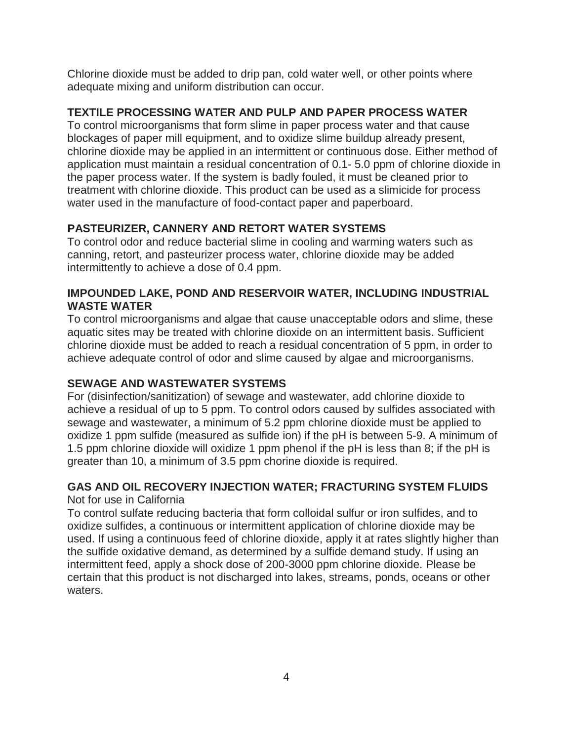Chlorine dioxide must be added to drip pan, cold water well, or other points where adequate mixing and uniform distribution can occur.

#### **TEXTILE PROCESSING WATER AND PULP AND PAPER PROCESS WATER**

To control microorganisms that form slime in paper process water and that cause blockages of paper mill equipment, and to oxidize slime buildup already present, chlorine dioxide may be applied in an intermittent or continuous dose. Either method of application must maintain a residual concentration of 0.1- 5.0 ppm of chlorine dioxide in the paper process water. If the system is badly fouled, it must be cleaned prior to treatment with chlorine dioxide. This product can be used as a slimicide for process water used in the manufacture of food-contact paper and paperboard.

## **PASTEURIZER, CANNERY AND RETORT WATER SYSTEMS**

To control odor and reduce bacterial slime in cooling and warming waters such as canning, retort, and pasteurizer process water, chlorine dioxide may be added intermittently to achieve a dose of 0.4 ppm.

#### **IMPOUNDED LAKE, POND AND RESERVOIR WATER, INCLUDING INDUSTRIAL WASTE WATER**

To control microorganisms and algae that cause unacceptable odors and slime, these aquatic sites may be treated with chlorine dioxide on an intermittent basis. Sufficient chlorine dioxide must be added to reach a residual concentration of 5 ppm, in order to achieve adequate control of odor and slime caused by algae and microorganisms.

## **SEWAGE AND WASTEWATER SYSTEMS**

For (disinfection/sanitization) of sewage and wastewater, add chlorine dioxide to achieve a residual of up to 5 ppm. To control odors caused by sulfides associated with sewage and wastewater, a minimum of 5.2 ppm chlorine dioxide must be applied to oxidize 1 ppm sulfide (measured as sulfide ion) if the pH is between 5-9. A minimum of 1.5 ppm chlorine dioxide will oxidize 1 ppm phenol if the pH is less than 8; if the pH is greater than 10, a minimum of 3.5 ppm chorine dioxide is required.

#### **GAS AND OIL RECOVERY INJECTION WATER; FRACTURING SYSTEM FLUIDS**  Not for use in California

To control sulfate reducing bacteria that form colloidal sulfur or iron sulfides, and to oxidize sulfides, a continuous or intermittent application of chlorine dioxide may be used. If using a continuous feed of chlorine dioxide, apply it at rates slightly higher than the sulfide oxidative demand, as determined by a sulfide demand study. If using an intermittent feed, apply a shock dose of 200-3000 ppm chlorine dioxide. Please be certain that this product is not discharged into lakes, streams, ponds, oceans or other waters.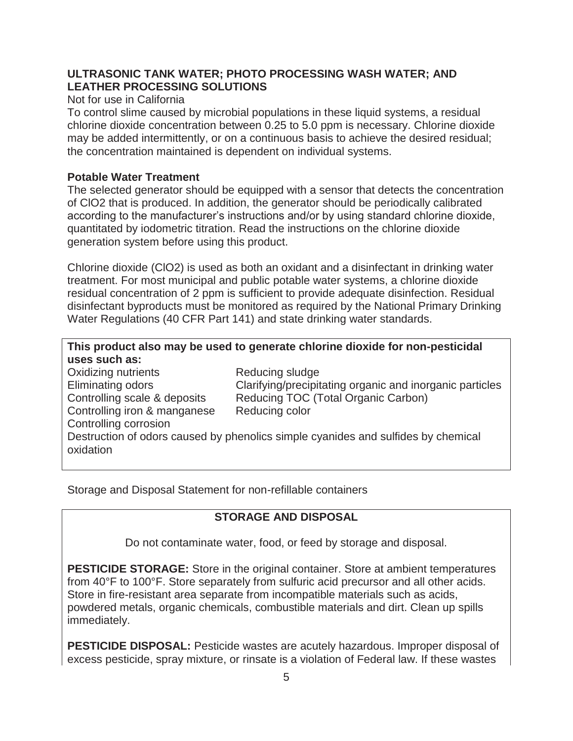#### **ULTRASONIC TANK WATER; PHOTO PROCESSING WASH WATER; AND LEATHER PROCESSING SOLUTIONS**

#### Not for use in California

To control slime caused by microbial populations in these liquid systems, a residual chlorine dioxide concentration between 0.25 to 5.0 ppm is necessary. Chlorine dioxide may be added intermittently, or on a continuous basis to achieve the desired residual; the concentration maintained is dependent on individual systems.

#### **Potable Water Treatment**

The selected generator should be equipped with a sensor that detects the concentration of ClO2 that is produced. In addition, the generator should be periodically calibrated according to the manufacturer's instructions and/or by using standard chlorine dioxide, quantitated by iodometric titration. Read the instructions on the chlorine dioxide generation system before using this product.

Chlorine dioxide (ClO2) is used as both an oxidant and a disinfectant in drinking water treatment. For most municipal and public potable water systems, a chlorine dioxide residual concentration of 2 ppm is sufficient to provide adequate disinfection. Residual disinfectant byproducts must be monitored as required by the National Primary Drinking Water Regulations (40 CFR Part 141) and state drinking water standards.

## **This product also may be used to generate chlorine dioxide for non-pesticidal uses such as:**

| <b>Oxidizing nutrients</b>   | Reducing sludge                                                                   |
|------------------------------|-----------------------------------------------------------------------------------|
| Eliminating odors            | Clarifying/precipitating organic and inorganic particles                          |
| Controlling scale & deposits | Reducing TOC (Total Organic Carbon)                                               |
| Controlling iron & manganese | Reducing color                                                                    |
| Controlling corrosion        |                                                                                   |
| oxidation                    | Destruction of odors caused by phenolics simple cyanides and sulfides by chemical |

Storage and Disposal Statement for non-refillable containers

## **STORAGE AND DISPOSAL**

Do not contaminate water, food, or feed by storage and disposal.

**PESTICIDE STORAGE:** Store in the original container. Store at ambient temperatures from 40°F to 100°F. Store separately from sulfuric acid precursor and all other acids. Store in fire-resistant area separate from incompatible materials such as acids, powdered metals, organic chemicals, combustible materials and dirt. Clean up spills immediately.

**PESTICIDE DISPOSAL:** Pesticide wastes are acutely hazardous. Improper disposal of excess pesticide, spray mixture, or rinsate is a violation of Federal law. If these wastes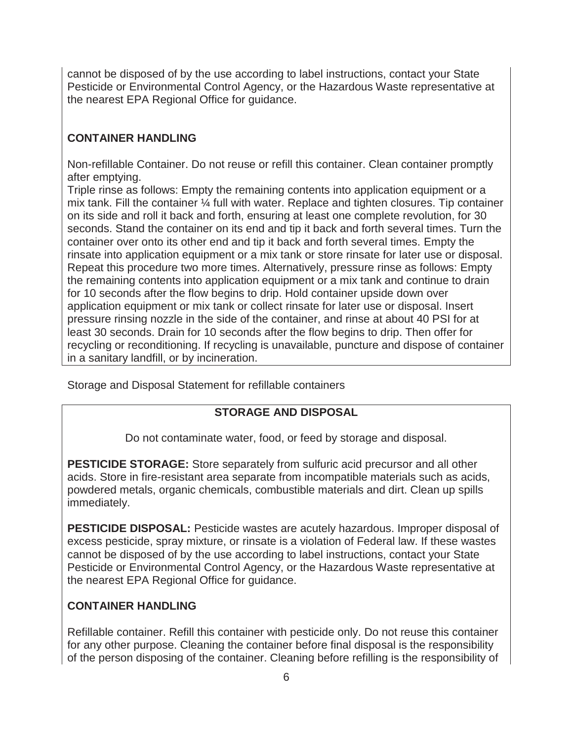cannot be disposed of by the use according to label instructions, contact your State Pesticide or Environmental Control Agency, or the Hazardous Waste representative at the nearest EPA Regional Office for guidance.

## **CONTAINER HANDLING**

Non-refillable Container. Do not reuse or refill this container. Clean container promptly after emptying.

Triple rinse as follows: Empty the remaining contents into application equipment or a mix tank. Fill the container ¼ full with water. Replace and tighten closures. Tip container on its side and roll it back and forth, ensuring at least one complete revolution, for 30 seconds. Stand the container on its end and tip it back and forth several times. Turn the container over onto its other end and tip it back and forth several times. Empty the rinsate into application equipment or a mix tank or store rinsate for later use or disposal. Repeat this procedure two more times. Alternatively, pressure rinse as follows: Empty the remaining contents into application equipment or a mix tank and continue to drain for 10 seconds after the flow begins to drip. Hold container upside down over application equipment or mix tank or collect rinsate for later use or disposal. Insert pressure rinsing nozzle in the side of the container, and rinse at about 40 PSI for at least 30 seconds. Drain for 10 seconds after the flow begins to drip. Then offer for recycling or reconditioning. If recycling is unavailable, puncture and dispose of container in a sanitary landfill, or by incineration.

Storage and Disposal Statement for refillable containers

## **STORAGE AND DISPOSAL**

Do not contaminate water, food, or feed by storage and disposal.

**PESTICIDE STORAGE:** Store separately from sulfuric acid precursor and all other acids. Store in fire-resistant area separate from incompatible materials such as acids, powdered metals, organic chemicals, combustible materials and dirt. Clean up spills immediately.

**PESTICIDE DISPOSAL:** Pesticide wastes are acutely hazardous. Improper disposal of excess pesticide, spray mixture, or rinsate is a violation of Federal law. If these wastes cannot be disposed of by the use according to label instructions, contact your State Pesticide or Environmental Control Agency, or the Hazardous Waste representative at the nearest EPA Regional Office for guidance.

## **CONTAINER HANDLING**

Refillable container. Refill this container with pesticide only. Do not reuse this container for any other purpose. Cleaning the container before final disposal is the responsibility of the person disposing of the container. Cleaning before refilling is the responsibility of